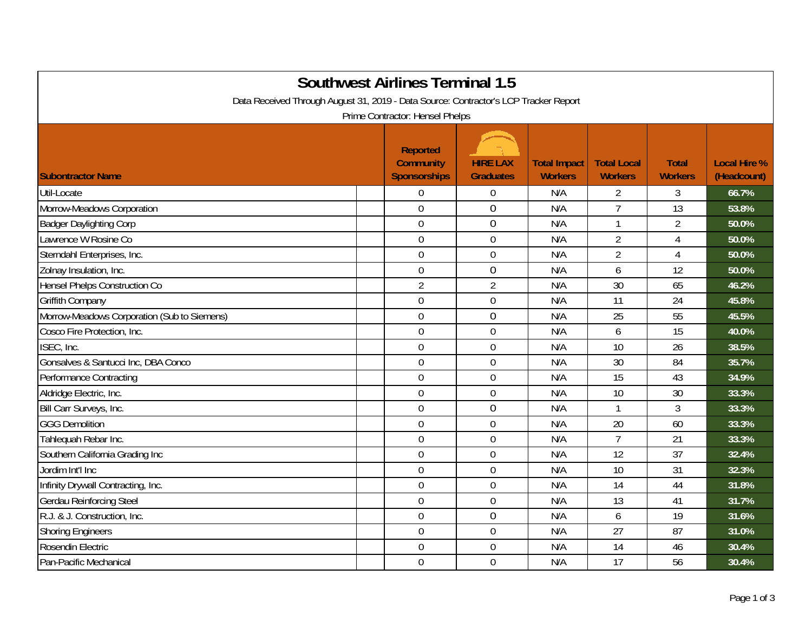| <b>Southwest Airlines Terminal 1.5</b><br>Data Received Through August 31, 2019 - Data Source: Contractor's LCP Tracker Report<br>Prime Contractor: Hensel Phelps |                                                            |  |                                     |                                       |                                      |                                |                                    |  |
|-------------------------------------------------------------------------------------------------------------------------------------------------------------------|------------------------------------------------------------|--|-------------------------------------|---------------------------------------|--------------------------------------|--------------------------------|------------------------------------|--|
| <b>Subontractor Name</b>                                                                                                                                          | <b>Reported</b><br><b>Community</b><br><b>Sponsorships</b> |  | <b>HIRE LAX</b><br><b>Graduates</b> | <b>Total Impact</b><br><b>Workers</b> | <b>Total Local</b><br><b>Workers</b> | <b>Total</b><br><b>Workers</b> | <b>Local Hire %</b><br>(Headcount) |  |
| Util-Locate                                                                                                                                                       | $\mathbf 0$                                                |  | $\boldsymbol{0}$                    | N/A                                   | $\overline{2}$                       | 3                              | 66.7%                              |  |
| Morrow-Meadows Corporation                                                                                                                                        | $\Omega$                                                   |  | $\overline{0}$                      | N/A                                   | $\overline{7}$                       | 13                             | 53.8%                              |  |
| <b>Badger Daylighting Corp</b>                                                                                                                                    | $\mathbf 0$                                                |  | 0                                   | N/A                                   | $\mathbf{1}$                         | $\overline{2}$                 | 50.0%                              |  |
| Lawrence W Rosine Co                                                                                                                                              | $\mathbf 0$                                                |  | $\boldsymbol{0}$                    | N/A                                   | $\overline{2}$                       | 4                              | 50.0%                              |  |
| Sterndahl Enterprises, Inc.                                                                                                                                       | $\mathbf 0$                                                |  | $\mathbf 0$                         | N/A                                   | $\overline{2}$                       | 4                              | 50.0%                              |  |
| Zolnay Insulation, Inc.                                                                                                                                           | $\mathbf 0$                                                |  | 0                                   | N/A                                   | 6                                    | 12                             | 50.0%                              |  |
| <b>Hensel Phelps Construction Co</b>                                                                                                                              | $\overline{2}$                                             |  | $\overline{2}$                      | N/A                                   | 30                                   | 65                             | 46.2%                              |  |
| <b>Griffith Company</b>                                                                                                                                           | $\mathbf 0$                                                |  | $\boldsymbol{0}$                    | N/A                                   | 11                                   | 24                             | 45.8%                              |  |
| Morrow-Meadows Corporation (Sub to Siemens)                                                                                                                       | $\overline{0}$                                             |  | $\overline{0}$                      | N/A                                   | 25                                   | 55                             | 45.5%                              |  |
| Cosco Fire Protection, Inc.                                                                                                                                       | $\mathbf 0$                                                |  | $\mathbf 0$                         | N/A                                   | 6                                    | 15                             | 40.0%                              |  |
| ISEC, Inc.                                                                                                                                                        | $\overline{0}$                                             |  | $\mathbf 0$                         | N/A                                   | 10                                   | 26                             | 38.5%                              |  |
| Gonsalves & Santucci Inc, DBA Conco                                                                                                                               | $\mathbf 0$                                                |  | $\mathbf 0$                         | N/A                                   | 30                                   | 84                             | 35.7%                              |  |
| Performance Contracting                                                                                                                                           | $\overline{0}$                                             |  | $\mathbf 0$                         | N/A                                   | 15                                   | 43                             | 34.9%                              |  |
| Aldridge Electric, Inc.                                                                                                                                           | $\mathbf 0$                                                |  | $\boldsymbol{0}$                    | N/A                                   | 10                                   | 30                             | 33.3%                              |  |
| Bill Carr Surveys, Inc.                                                                                                                                           | $\overline{0}$                                             |  | $\overline{0}$                      | N/A                                   | 1                                    | 3                              | 33.3%                              |  |
| <b>GGG Demolition</b>                                                                                                                                             | $\overline{0}$                                             |  | $\mathbf 0$                         | N/A                                   | 20                                   | 60                             | 33.3%                              |  |
| Tahlequah Rebar Inc.                                                                                                                                              | $\overline{0}$                                             |  | $\boldsymbol{0}$                    | N/A                                   | $\overline{7}$                       | 21                             | 33.3%                              |  |
| Southern California Grading Inc                                                                                                                                   | $\overline{0}$                                             |  | $\mathbf 0$                         | N/A                                   | 12                                   | 37                             | 32.4%                              |  |
| Jordim Int'l Inc                                                                                                                                                  | $\overline{0}$                                             |  | $\overline{0}$                      | N/A                                   | 10                                   | 31                             | 32.3%                              |  |
| Infinity Drywall Contracting, Inc.                                                                                                                                | $\overline{0}$                                             |  | $\mathbf 0$                         | N/A                                   | 14                                   | 44                             | 31.8%                              |  |
| <b>Gerdau Reinforcing Steel</b>                                                                                                                                   | $\boldsymbol{0}$                                           |  | $\boldsymbol{0}$                    | N/A                                   | 13                                   | 41                             | 31.7%                              |  |
| R.J. & J. Construction, Inc.                                                                                                                                      | $\mathbf 0$                                                |  | 0                                   | N/A                                   | 6                                    | 19                             | 31.6%                              |  |
| <b>Shoring Engineers</b>                                                                                                                                          | $\mathbf 0$                                                |  | $\boldsymbol{0}$                    | N/A                                   | 27                                   | 87                             | 31.0%                              |  |
| Rosendin Electric                                                                                                                                                 | $\overline{0}$                                             |  | $\mathbf 0$                         | N/A                                   | 14                                   | 46                             | 30.4%                              |  |
| Pan-Pacific Mechanical                                                                                                                                            | $\overline{0}$                                             |  | $\mathbf 0$                         | N/A                                   | 17                                   | 56                             | 30.4%                              |  |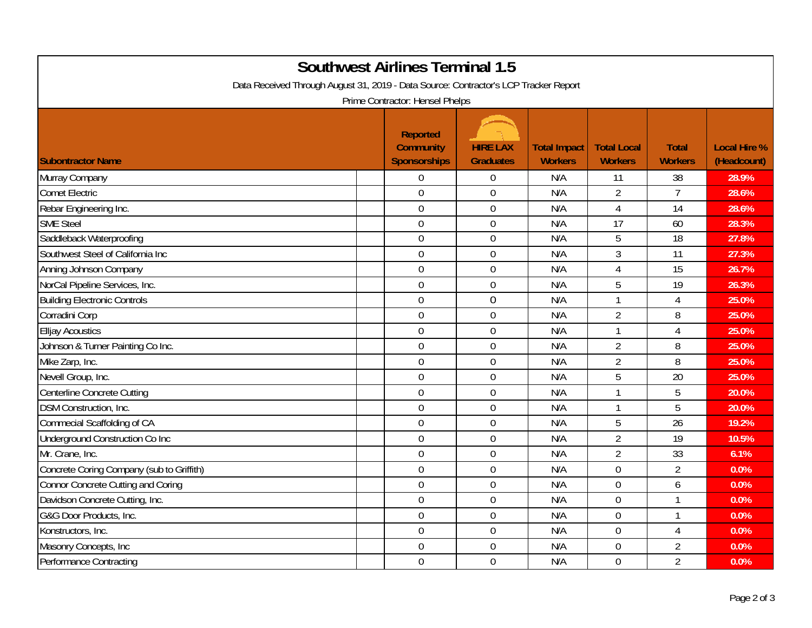| <b>Southwest Airlines Terminal 1.5</b><br>Data Received Through August 31, 2019 - Data Source: Contractor's LCP Tracker Report<br>Prime Contractor: Hensel Phelps |                                                     |                                     |                                       |                                      |                                |                                    |  |  |
|-------------------------------------------------------------------------------------------------------------------------------------------------------------------|-----------------------------------------------------|-------------------------------------|---------------------------------------|--------------------------------------|--------------------------------|------------------------------------|--|--|
| <b>Subontractor Name</b>                                                                                                                                          | <b>Reported</b><br><b>Community</b><br>Sponsorships | <b>HIRE LAX</b><br><b>Graduates</b> | <b>Total Impact</b><br><b>Workers</b> | <b>Total Local</b><br><b>Workers</b> | <b>Total</b><br><b>Workers</b> | <b>Local Hire %</b><br>(Headcount) |  |  |
| Murray Company                                                                                                                                                    | $\mathbf 0$                                         | $\mathbf 0$                         | N/A                                   | 11                                   | 38                             | 28.9%                              |  |  |
| <b>Comet Electric</b>                                                                                                                                             | $\mathbf 0$                                         | $\mathbf 0$                         | N/A                                   | $\overline{2}$                       | $\overline{7}$                 | 28.6%                              |  |  |
| Rebar Engineering Inc.                                                                                                                                            | $\mathbf 0$                                         | $\mathbf 0$                         | N/A                                   | 4                                    | 14                             | 28.6%                              |  |  |
| <b>SME Steel</b>                                                                                                                                                  | $\overline{0}$                                      | $\mathbf 0$                         | N/A                                   | 17                                   | 60                             | 28.3%                              |  |  |
| Saddleback Waterproofing                                                                                                                                          | $\overline{0}$                                      | $\mathbf 0$                         | N/A                                   | 5                                    | $\overline{18}$                | 27.8%                              |  |  |
| Southwest Steel of California Inc                                                                                                                                 | $\overline{0}$                                      | $\overline{0}$                      | N/A                                   | $\mathfrak{Z}$                       | 11                             | 27.3%                              |  |  |
| Anning Johnson Company                                                                                                                                            | $\mathbf 0$                                         | $\boldsymbol{0}$                    | N/A                                   | 4                                    | 15                             | 26.7%                              |  |  |
| NorCal Pipeline Services, Inc.                                                                                                                                    | $\overline{0}$                                      | $\mathbf 0$                         | N/A                                   | 5                                    | 19                             | 26.3%                              |  |  |
| <b>Building Electronic Controls</b>                                                                                                                               | $\mathbf 0$                                         | $\mathbf 0$                         | N/A                                   | $\mathbf{1}$                         | $\overline{4}$                 | 25.0%                              |  |  |
| Corradini Corp                                                                                                                                                    | $\overline{0}$                                      | $\boldsymbol{0}$                    | N/A                                   | $\overline{2}$                       | 8                              | 25.0%                              |  |  |
| <b>Elljay Acoustics</b>                                                                                                                                           | $\overline{0}$                                      | $\boldsymbol{0}$                    | N/A                                   | $\mathbf{1}$                         | $\overline{4}$                 | 25.0%                              |  |  |
| Johnson & Turner Painting Co Inc.                                                                                                                                 | $\mathbf 0$                                         | $\boldsymbol{0}$                    | N/A                                   | $\overline{2}$                       | 8                              | 25.0%                              |  |  |
| Mike Zarp, Inc.                                                                                                                                                   | $\mathbf 0$                                         | $\mathbf 0$                         | N/A                                   | $\overline{2}$                       | 8                              | 25.0%                              |  |  |
| Nevell Group, Inc.                                                                                                                                                | $\mathbf 0$                                         | $\mathbf 0$                         | N/A                                   | 5                                    | 20                             | 25.0%                              |  |  |
| Centerline Concrete Cutting                                                                                                                                       | $\overline{0}$                                      | $\mathbf 0$                         | N/A                                   | $\mathbf{1}$                         | 5                              | 20.0%                              |  |  |
| DSM Construction, Inc.                                                                                                                                            | $\mathbf 0$                                         | $\boldsymbol{0}$                    | N/A                                   | $\mathbf{1}$                         | 5                              | 20.0%                              |  |  |
| <b>Commecial Scaffolding of CA</b>                                                                                                                                | $\overline{0}$                                      | $\mathbf 0$                         | N/A                                   | 5                                    | 26                             | 19.2%                              |  |  |
| Underground Construction Co Inc                                                                                                                                   | $\mathbf 0$                                         | $\mathbf 0$                         | N/A                                   | $\overline{2}$                       | 19                             | 10.5%                              |  |  |
| Mr. Crane, Inc.                                                                                                                                                   | $\overline{0}$                                      | $\mathbf 0$                         | N/A                                   | $\overline{2}$                       | 33                             | 6.1%                               |  |  |
| Concrete Coring Company (sub to Griffith)                                                                                                                         | $\mathbf 0$                                         | $\overline{0}$                      | N/A                                   | $\overline{0}$                       | $\overline{2}$                 | 0.0%                               |  |  |
| <b>Connor Concrete Cutting and Coring</b>                                                                                                                         | $\overline{0}$                                      | $\boldsymbol{0}$                    | N/A                                   | $\overline{0}$                       | $\boldsymbol{6}$               | 0.0%                               |  |  |
| Davidson Concrete Cutting, Inc.                                                                                                                                   | $\mathbf 0$                                         | $\mathbf 0$                         | N/A                                   | $\overline{0}$                       | $\mathbf{1}$                   | 0.0%                               |  |  |
| G&G Door Products, Inc.                                                                                                                                           | $\mathbf 0$                                         | $\mathbf 0$                         | N/A                                   | $\mathbf 0$                          | $\mathbf{1}$                   | 0.0%                               |  |  |
| Konstructors, Inc.                                                                                                                                                | $\overline{0}$                                      | $\mathbf 0$                         | N/A                                   | $\mathbf 0$                          | $\overline{4}$                 | 0.0%                               |  |  |
| Masonry Concepts, Inc                                                                                                                                             | $\mathbf 0$                                         | $\boldsymbol{0}$                    | N/A                                   | $\mathbf 0$                          | $\overline{2}$                 | 0.0%                               |  |  |
| Performance Contracting                                                                                                                                           | $\overline{0}$                                      | $\mathbf 0$                         | N/A                                   | $\overline{0}$                       | $\overline{2}$                 | 0.0%                               |  |  |